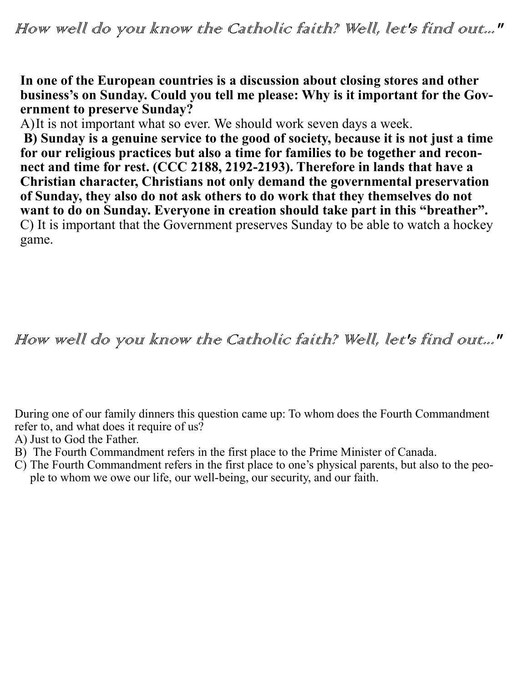**In one of the European countries is a discussion about closing stores and other business's on Sunday. Could you tell me please: Why is it important for the Government to preserve Sunday?**

A)It is not important what so ever. We should work seven days a week.

**B) Sunday is a genuine service to the good of society, because it is not just a time for our religious practices but also a time for families to be together and reconnect and time for rest. (CCC 2188, 2192-2193). Therefore in lands that have a Christian character, Christians not only demand the governmental preservation of Sunday, they also do not ask others to do work that they themselves do not want to do on Sunday. Everyone in creation should take part in this "breather".** C) It is important that the Government preserves Sunday to be able to watch a hockey game.

## How well do you know the Catholic faith? Well, let's find out..."

During one of our family dinners this question came up: To whom does the Fourth Commandment refer to, and what does it require of us?

- A) Just to God the Father.
- B) The Fourth Commandment refers in the first place to the Prime Minister of Canada.
- C) The Fourth Commandment refers in the first place to one's physical parents, but also to the people to whom we owe our life, our well-being, our security, and our faith.